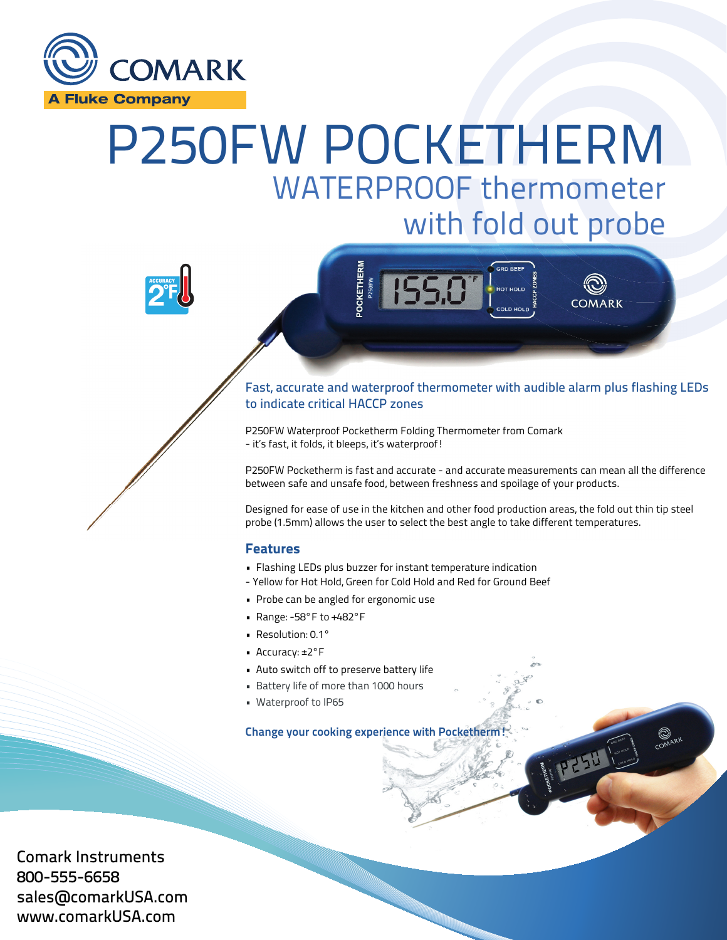

# P250FW POCKETHERM WATERPROOF thermometer with fold out probe





## Fast, accurate and waterproof thermometer with audible alarm plus flashing LEDs L to indicate critical HACCP zones

P250FW Waterproof Pocketherm Folding Thermometer from Comark - it's fast, it folds, it bleeps, it's waterproof!

P250FW Pocketherm is fast and accurate - and accurate measurements can mean all the difference differen between safe and unsafe food, between freshness and spoilage of your products.

Designed for ease of use in the kitchen and other food production areas, the fold out thin tip steel probe (1.5mm) allows the user to select the best angle to take different temperatures.

COMARK

THE COMPANY

### Features

- Flashing LEDs plus buzzer for instant temperature indication
- Yellow for Hot Hold, Green for Cold Hold and Red for Ground Beef
- Probe can be angled for ergonomic use
- Range: -58°F to +482°F
- Resolution: 0.1°
- Accuracy: ±2°F
- Auto switch off to preserve battery life
- Battery life of more than 1000 hours
- Waterproof to IP65

Change your cooking experience with Pocketherm!

Comark Instruments 800-555-6658 sales@comarkUSA.com www.comarkUSA.com